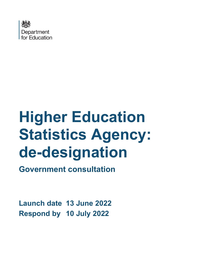

# **Higher Education Statistics Agency: de-designation Government consultation**

**Launch date 13 June 2022 Respond by 10 July 2022**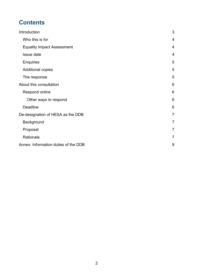# **Contents**

| Introduction                         | 3               |
|--------------------------------------|-----------------|
| Who this is for                      | $\overline{4}$  |
| <b>Equality Impact Assessment</b>    | $\overline{4}$  |
| Issue date                           | $\overline{4}$  |
| <b>Enquiries</b>                     | 5               |
| Additional copies                    | 5               |
| The response                         | 5               |
| About this consultation              | 6               |
| Respond online                       | $6\phantom{1}6$ |
| Other ways to respond                | 6               |
| <b>Deadline</b>                      | 6               |
| De-designation of HESA as the DDB    | $\overline{7}$  |
| Background                           | 7               |
| Proposal                             | $\overline{7}$  |
| Rationale                            | $\overline{7}$  |
| Annex: Information duties of the DDB | 9               |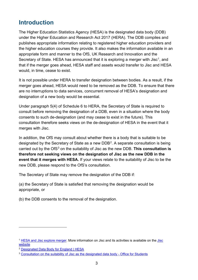# <span id="page-2-0"></span>**Introduction**

The Higher Education Statistics Agency (HESA) is the designated data body (DDB) under the Higher Education and Research Act 2017 (HERA). The DDB compiles and publishes appropriate information relating to registered higher education providers and the higher education courses they provide. It also makes the information available in an appropriate form and manner to the OfS, UK Research and Innovation and the Secretary of State. HESA has announced that it is exploring a merger with Jisc<sup>[1](#page-2-1)</sup>, and that if the merger goes ahead, HESA staff and assets would transfer to Jisc and HESA would, in time, cease to exist.

It is not possible under HERA to transfer designation between bodies. As a result, if the merger goes ahead, HESA would need to be removed as the DDB. To ensure that there are no interruptions to data services, concurrent removal of HESA's designation and designation of a new body would be essential.

Under paragraph 5(4) of Schedule 6 to HERA, the Secretary of State is required to consult before removing the designation of a DDB, even in a situation where the body consents to such de-designation (and may cease to exist in the future). This consultation therefore seeks views on the de-designation of HESA in the event that it merges with Jisc.

In addition, the OfS may consult about whether there is a body that is suitable to be designated by the Secretary of State as a new DDB[2.](#page-2-2) A separate consultation is being carried out by the OfS<sup>[3](#page-2-3)</sup> on the suitability of Jisc as the new DDB. This consultation is **therefore not seeking views on the designation of Jisc as the new DDB in the event that it merges with HESA.** If your views relate to the suitability of Jisc to be the new DDB, please respond to the OfS's consultation.

The Secretary of State may remove the designation of the DDB if:

(a) the Secretary of State is satisfied that removing the designation would be appropriate, or

(b) the DDB consents to the removal of the designation.

<span id="page-2-1"></span><sup>&</sup>lt;sup>1</sup> [HESA and Jisc explore merger.](https://www.hesa.ac.uk/news/17-02-2022/hesa-and-jisc-explore-merger) More information on [Jisc](https://www.jisc.ac.uk/) and its activities is available on the Jisc [website](https://www.jisc.ac.uk/)

<span id="page-2-2"></span><sup>2</sup> [Designated Data Body for England | HESA](https://www.hesa.ac.uk/about/what-we-do/designated-data-body#:%7E:text=HESA%20is%20the%20Designated%20Data%20Body%20%28DDB%29%20for,with%20HE%20providers%20and%20sector%20bodies%20in%202018.)

<span id="page-2-3"></span><sup>&</sup>lt;sup>3</sup> [Consultation on the suitability of Jisc as the designated data body - Office for Students](https://www.officeforstudents.org.uk/publications/consultation-on-the-suitability-of-jisc-as-the-designated-data-body/)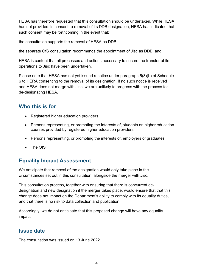HESA has therefore requested that this consultation should be undertaken. While HESA has not provided its consent to removal of its DDB designation, HESA has indicated that such consent may be forthcoming in the event that:

the consultation supports the removal of HESA as DDB;

the separate OfS consultation recommends the appointment of Jisc as DDB; and

HESA is content that all processes and actions necessary to secure the transfer of its operations to Jisc have been undertaken.

Please note that HESA has not yet issued a notice under paragraph 5(3)(b) of Schedule 6 to HERA consenting to the removal of its designation. If no such notice is received and HESA does not merge with Jisc, we are unlikely to progress with the process for de-designating HESA.

## <span id="page-3-0"></span>**Who this is for**

- Registered higher education providers
- Persons representing, or promoting the interests of, students on higher education courses provided by registered higher education providers
- Persons representing, or promoting the interests of, employers of graduates
- The OfS

## <span id="page-3-1"></span>**Equality Impact Assessment**

We anticipate that removal of the designation would only take place in the circumstances set out in this consultation, alongside the merger with Jisc.

This consultation process, together with ensuring that there is concurrent dedesignation and new designation if the merger takes place, would ensure that that this change does not impact on the Department's ability to comply with its equality duties, and that there is no risk to data collection and publication.

Accordingly, we do not anticipate that this proposed change will have any equality impact.

### <span id="page-3-2"></span>**Issue date**

The consultation was issued on 13 June 2022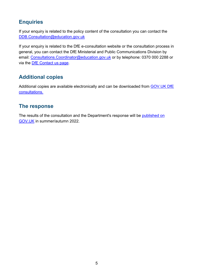## <span id="page-4-0"></span>**Enquiries**

If your enquiry is related to the policy content of the consultation you can contact the [DDB.Consultation@education.](mailto:DDB.Consultation@education)gov.uk

If your enquiry is related to the DfE e-consultation website or the consultation process in general, you can contact the DfE Ministerial and Public Communications Division by email: Consultations. Coordinator@education.gov.uk or by telephone: 0370 000 2288 or via the **DfE** Contact us page.

## <span id="page-4-1"></span>**Additional copies**

Additional copies are available electronically and can be downloaded from [GOV.UK DfE](https://www.gov.uk/government/publications?keywords=&publication_filter_option=consultations&topics%5B%5D=all&departments%5B%5D=department-for-education&official_document_status=all&world_locations%5B%5D=all&from_date=&to_date=&commit=Refresh+results)  [consultations.](https://www.gov.uk/government/publications?keywords=&publication_filter_option=consultations&topics%5B%5D=all&departments%5B%5D=department-for-education&official_document_status=all&world_locations%5B%5D=all&from_date=&to_date=&commit=Refresh+results)

## <span id="page-4-2"></span>**The response**

The results of the consultation and the Department's response will be [published on](https://www.gov.uk/government/publications?departments%5B%5D=department-for-education&publication_filter_option=consultations)  [GOV.UK](https://www.gov.uk/government/publications?departments%5B%5D=department-for-education&publication_filter_option=consultations) in summer/autumn 2022.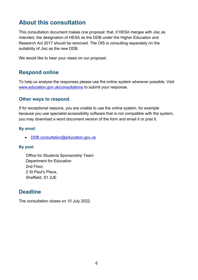## <span id="page-5-0"></span>**About this consultation**

This consultation document makes one proposal: that, if HESA merges with Jisc as intended, the designation of HESA as the DDB under the Higher Education and Research Act 2017 should be removed. The OfS is consulting separately on the suitability of Jisc as the new DDB.

We would like to hear your views on our proposal.

## <span id="page-5-1"></span>**Respond online**

To help us analyse the responses please use the online system wherever possible. Visit [www.education.gov.uk/consultations](http://www.education.gov.uk/consultations) to submit your response.

#### <span id="page-5-2"></span>**Other ways to respond**

If for exceptional reasons, you are unable to use the online system, for example because you use specialist accessibility software that is not compatible with the system, you may download a word document version of the form and email it or post it.

#### **By email**

• **DDB.consultation@education.gov.uk** 

#### **By post**

Office for Students Sponsorship Team Department for Education 2nd Floor, 2 St Paul's Place, Sheffield, S1 2JE

## <span id="page-5-3"></span>**Deadline**

The consultation closes on 10 July 2022.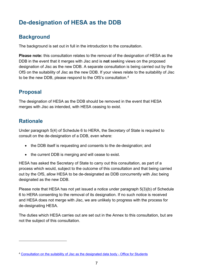# <span id="page-6-0"></span>**De-designation of HESA as the DDB**

## <span id="page-6-1"></span>**Background**

The background is set out in full in the introduction to the consultation.

**Please note:** this consultation relates to the removal of the designation of HESA as the DDB in the event that it merges with Jisc and is **not** seeking views on the proposed designation of Jisc as the new DDB. A separate consultation is being carried out by the OfS on the suitability of Jisc as the new DDB. If your views relate to the suitability of Jisc to be the new DDB, please respond to the OfS's consultation.[4](#page-6-4)

## <span id="page-6-2"></span>**Proposal**

The designation of HESA as the DDB should be removed in the event that HESA merges with Jisc as intended, with HESA ceasing to exist.

## <span id="page-6-3"></span>**Rationale**

Under paragraph 5(4) of Schedule 6 to HERA, the Secretary of State is required to consult on the de-designation of a DDB, even where:

- the DDB itself is requesting and consents to the de-designation; and
- the current DDB is merging and will cease to exist.

HESA has asked the Secretary of State to carry out this consultation, as part of a process which would, subject to the outcome of this consultation and that being carried out by the OfS, allow HESA to be de-designated as DDB concurrently with Jisc being designated as the new DDB.

Please note that HESA has not yet issued a notice under paragraph 5(3)(b) of Schedule 6 to HERA consenting to the removal of its designation. If no such notice is received and HESA does not merge with Jisc, we are unlikely to progress with the process for de-designating HESA.

The duties which HESA carries out are set out in the Annex to this consultation, but are not the subject of this consultation.

<span id="page-6-4"></span><sup>4</sup> [Consultation on the suitability of Jisc as the designated data body - Office for Students](https://www.officeforstudents.org.uk/publications/consultation-on-the-suitability-of-jisc-as-the-designated-data-body/)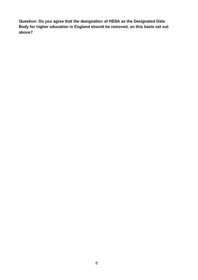**Question: Do you agree that the designation of HESA as the Designated Data Body for higher education in England should be removed, on this basis set out above?**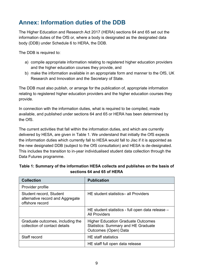# <span id="page-8-0"></span>**Annex: Information duties of the DDB**

The Higher Education and Research Act 2017 (HERA) sections 64 and 65 set out the information duties of the OfS or, where a body is designated as the designated data body (DDB) under Schedule 6 to HERA, the DDB.

The DDB is required to:

- a) compile appropriate information relating to registered higher education providers and the higher education courses they provide, and
- b) make the information available in an appropriate form and manner to the OfS, UK Research and Innovation and the Secretary of State.

The DDB must also publish, or arrange for the publication of, appropriate information relating to registered higher education providers and the higher education courses they provide.

In connection with the information duties, what is required to be compiled, made available, and published under sections 64 and 65 or HERA has been determined by the OfS.

The current activities that fall within the information duties, and which are currently delivered by HESA, are given in Table 1. We understand that initially the OfS expects the information duties which currently fall to HESA would fall to Jisc if it is appointed as the new designated DDB (subject to the OfS consultation) and HESA is de-designated. This includes the transition to in-year individualised student data collection through the Data Futures programme.

| <b>Collection</b>                                                              | <b>Publication</b>                                                                                              |
|--------------------------------------------------------------------------------|-----------------------------------------------------------------------------------------------------------------|
| Provider profile                                                               |                                                                                                                 |
| Student record, Student<br>alternative record and Aggregate<br>offshore record | HE student statistics- all Providers                                                                            |
|                                                                                | HE student statistics - full open data release -<br><b>All Providers</b>                                        |
| Graduate outcomes, including the<br>collection of contact details              | <b>Higher Education Graduate Outcomes</b><br><b>Statistics: Summary and HE Graduate</b><br>Outcomes (Open) Data |
| Staff record                                                                   | <b>HE</b> staff statistics                                                                                      |
|                                                                                | HE staff full open data release                                                                                 |

#### **Table 1: Summary of the information HESA collects and publishes on the basis of sections 64 and 65 of HERA**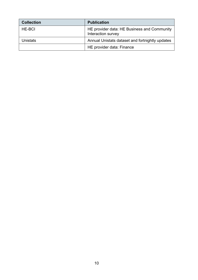| <b>Collection</b> | <b>Publication</b>                                                |
|-------------------|-------------------------------------------------------------------|
| HE-BCI            | HE provider data: HE Business and Community<br>Interaction survey |
| Unistats          | Annual Unistats dataset and fortnightly updates                   |
|                   | HE provider data: Finance                                         |